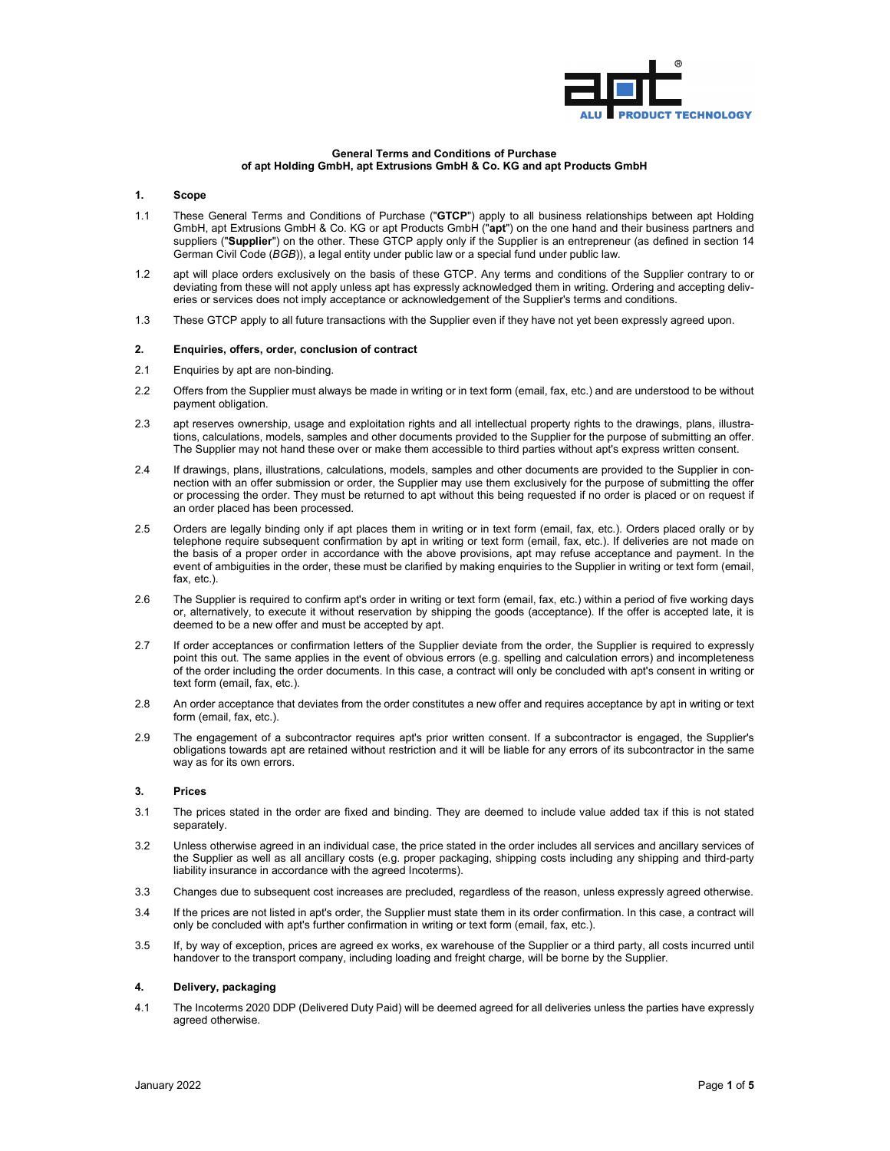

### **General Terms and Conditions of Purchase of apt Holding GmbH, apt Extrusions GmbH & Co. KG and apt Products GmbH**

### **1. Scope**

- 1.1 These General Terms and Conditions of Purchase ("**GTCP**") apply to all business relationships between apt Holding GmbH, apt Extrusions GmbH & Co. KG or apt Products GmbH ("**apt**") on the one hand and their business partners and suppliers ("**Supplier**") on the other. These GTCP apply only if the Supplier is an entrepreneur (as defined in section 14 German Civil Code (*BGB*)), a legal entity under public law or a special fund under public law.
- 1.2 apt will place orders exclusively on the basis of these GTCP. Any terms and conditions of the Supplier contrary to or deviating from these will not apply unless apt has expressly acknowledged them in writing. Ordering and accepting deliveries or services does not imply acceptance or acknowledgement of the Supplier's terms and conditions.
- 1.3 These GTCP apply to all future transactions with the Supplier even if they have not yet been expressly agreed upon.

#### **2. Enquiries, offers, order, conclusion of contract**

- 2.1 Enquiries by apt are non-binding.
- 2.2 Offers from the Supplier must always be made in writing or in text form (email, fax, etc.) and are understood to be without payment obligation.
- 2.3 apt reserves ownership, usage and exploitation rights and all intellectual property rights to the drawings, plans, illustrations, calculations, models, samples and other documents provided to the Supplier for the purpose of submitting an offer. The Supplier may not hand these over or make them accessible to third parties without apt's express written consent.
- 2.4 If drawings, plans, illustrations, calculations, models, samples and other documents are provided to the Supplier in connection with an offer submission or order, the Supplier may use them exclusively for the purpose of submitting the offer or processing the order. They must be returned to apt without this being requested if no order is placed or on request if an order placed has been processed.
- 2.5 Orders are legally binding only if apt places them in writing or in text form (email, fax, etc.). Orders placed orally or by telephone require subsequent confirmation by apt in writing or text form (email, fax, etc.). If deliveries are not made on the basis of a proper order in accordance with the above provisions, apt may refuse acceptance and payment. In the event of ambiguities in the order, these must be clarified by making enquiries to the Supplier in writing or text form (email, fax, etc.).
- 2.6 The Supplier is required to confirm apt's order in writing or text form (email, fax, etc.) within a period of five working days or, alternatively, to execute it without reservation by shipping the goods (acceptance). If the offer is accepted late, it is deemed to be a new offer and must be accepted by apt.
- 2.7 If order acceptances or confirmation letters of the Supplier deviate from the order, the Supplier is required to expressly point this out. The same applies in the event of obvious errors (e.g. spelling and calculation errors) and incompleteness of the order including the order documents. In this case, a contract will only be concluded with apt's consent in writing or text form (email, fax, etc.).
- 2.8 An order acceptance that deviates from the order constitutes a new offer and requires acceptance by apt in writing or text form (email, fax, etc.).
- 2.9 The engagement of a subcontractor requires apt's prior written consent. If a subcontractor is engaged, the Supplier's obligations towards apt are retained without restriction and it will be liable for any errors of its subcontractor in the same way as for its own errors.

# **3. Prices**

- 3.1 The prices stated in the order are fixed and binding. They are deemed to include value added tax if this is not stated separately.
- 3.2 Unless otherwise agreed in an individual case, the price stated in the order includes all services and ancillary services of the Supplier as well as all ancillary costs (e.g. proper packaging, shipping costs including any shipping and third-party liability insurance in accordance with the agreed Incoterms).
- 3.3 Changes due to subsequent cost increases are precluded, regardless of the reason, unless expressly agreed otherwise.
- 3.4 If the prices are not listed in apt's order, the Supplier must state them in its order confirmation. In this case, a contract will only be concluded with apt's further confirmation in writing or text form (email, fax, etc.).
- 3.5 If, by way of exception, prices are agreed ex works, ex warehouse of the Supplier or a third party, all costs incurred until handover to the transport company, including loading and freight charge, will be borne by the Supplier.

# **4. Delivery, packaging**

4.1 The Incoterms 2020 DDP (Delivered Duty Paid) will be deemed agreed for all deliveries unless the parties have expressly agreed otherwise.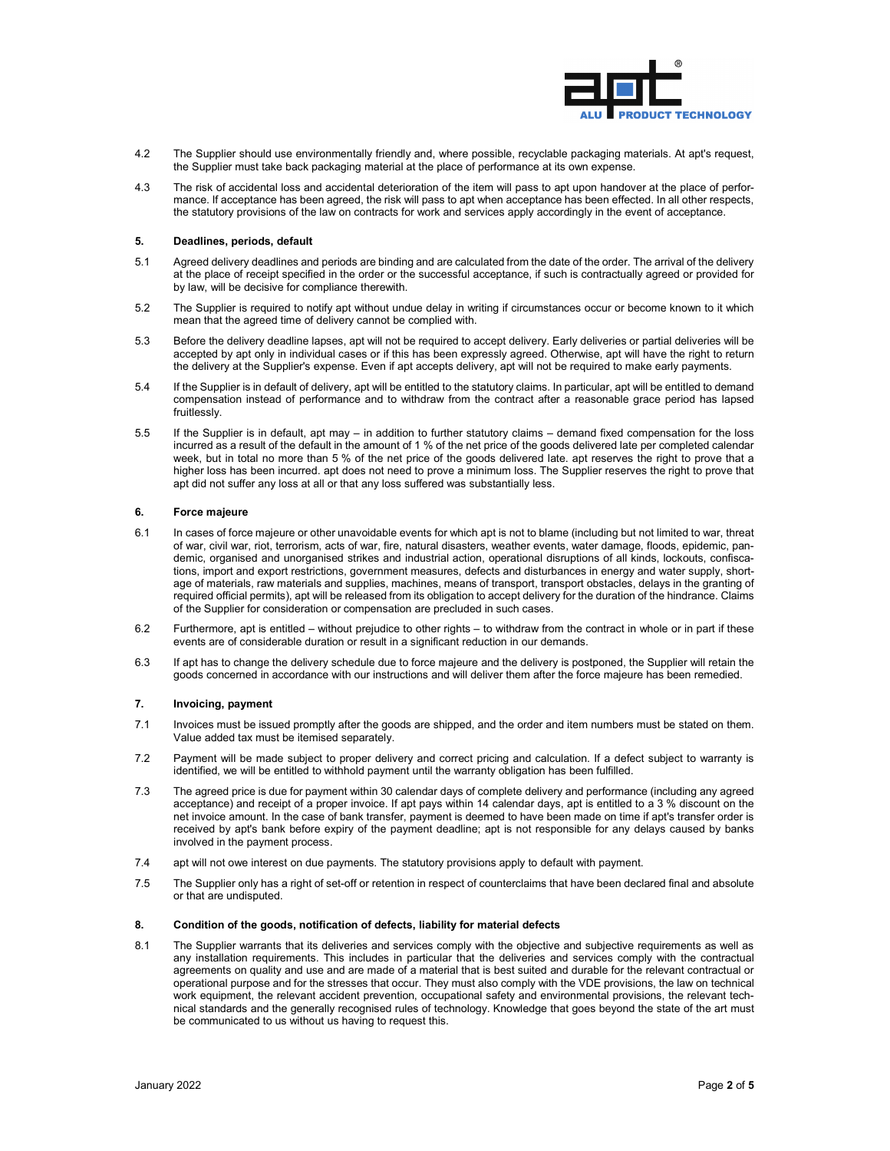

- 4.2 The Supplier should use environmentally friendly and, where possible, recyclable packaging materials. At apt's request, the Supplier must take back packaging material at the place of performance at its own expense.
- 4.3 The risk of accidental loss and accidental deterioration of the item will pass to apt upon handover at the place of performance. If acceptance has been agreed, the risk will pass to apt when acceptance has been effected. In all other respects, the statutory provisions of the law on contracts for work and services apply accordingly in the event of acceptance.

### **5. Deadlines, periods, default**

- 5.1 Agreed delivery deadlines and periods are binding and are calculated from the date of the order. The arrival of the delivery at the place of receipt specified in the order or the successful acceptance, if such is contractually agreed or provided for by law, will be decisive for compliance therewith.
- 5.2 The Supplier is required to notify apt without undue delay in writing if circumstances occur or become known to it which mean that the agreed time of delivery cannot be complied with.
- 5.3 Before the delivery deadline lapses, apt will not be required to accept delivery. Early deliveries or partial deliveries will be accepted by apt only in individual cases or if this has been expressly agreed. Otherwise, apt will have the right to return the delivery at the Supplier's expense. Even if apt accepts delivery, apt will not be required to make early payments.
- 5.4 If the Supplier is in default of delivery, apt will be entitled to the statutory claims. In particular, apt will be entitled to demand compensation instead of performance and to withdraw from the contract after a reasonable grace period has lapsed fruitlessly.
- 5.5 If the Supplier is in default, apt may in addition to further statutory claims demand fixed compensation for the loss incurred as a result of the default in the amount of 1 % of the net price of the goods delivered late per completed calendar week, but in total no more than 5 % of the net price of the goods delivered late. apt reserves the right to prove that a higher loss has been incurred. apt does not need to prove a minimum loss. The Supplier reserves the right to prove that apt did not suffer any loss at all or that any loss suffered was substantially less.

# **6. Force majeure**

- 6.1 In cases of force majeure or other unavoidable events for which apt is not to blame (including but not limited to war, threat of war, civil war, riot, terrorism, acts of war, fire, natural disasters, weather events, water damage, floods, epidemic, pandemic, organised and unorganised strikes and industrial action, operational disruptions of all kinds, lockouts, confiscations, import and export restrictions, government measures, defects and disturbances in energy and water supply, shortage of materials, raw materials and supplies, machines, means of transport, transport obstacles, delays in the granting of required official permits), apt will be released from its obligation to accept delivery for the duration of the hindrance. Claims of the Supplier for consideration or compensation are precluded in such cases.
- 6.2 Furthermore, apt is entitled without prejudice to other rights to withdraw from the contract in whole or in part if these events are of considerable duration or result in a significant reduction in our demands.
- 6.3 If apt has to change the delivery schedule due to force majeure and the delivery is postponed, the Supplier will retain the goods concerned in accordance with our instructions and will deliver them after the force majeure has been remedied.

# **7. Invoicing, payment**

- 7.1 Invoices must be issued promptly after the goods are shipped, and the order and item numbers must be stated on them. Value added tax must be itemised separately.
- 7.2 Payment will be made subject to proper delivery and correct pricing and calculation. If a defect subject to warranty is identified, we will be entitled to withhold payment until the warranty obligation has been fulfilled.
- 7.3 The agreed price is due for payment within 30 calendar days of complete delivery and performance (including any agreed acceptance) and receipt of a proper invoice. If apt pays within 14 calendar days, apt is entitled to a 3 % discount on the net invoice amount. In the case of bank transfer, payment is deemed to have been made on time if apt's transfer order is received by apt's bank before expiry of the payment deadline; apt is not responsible for any delays caused by banks involved in the payment process.
- 7.4 apt will not owe interest on due payments. The statutory provisions apply to default with payment.
- 7.5 The Supplier only has a right of set-off or retention in respect of counterclaims that have been declared final and absolute or that are undisputed.

## **8. Condition of the goods, notification of defects, liability for material defects**

8.1 The Supplier warrants that its deliveries and services comply with the objective and subjective requirements as well as any installation requirements. This includes in particular that the deliveries and services comply with the contractual agreements on quality and use and are made of a material that is best suited and durable for the relevant contractual or operational purpose and for the stresses that occur. They must also comply with the VDE provisions, the law on technical work equipment, the relevant accident prevention, occupational safety and environmental provisions, the relevant technical standards and the generally recognised rules of technology. Knowledge that goes beyond the state of the art must be communicated to us without us having to request this.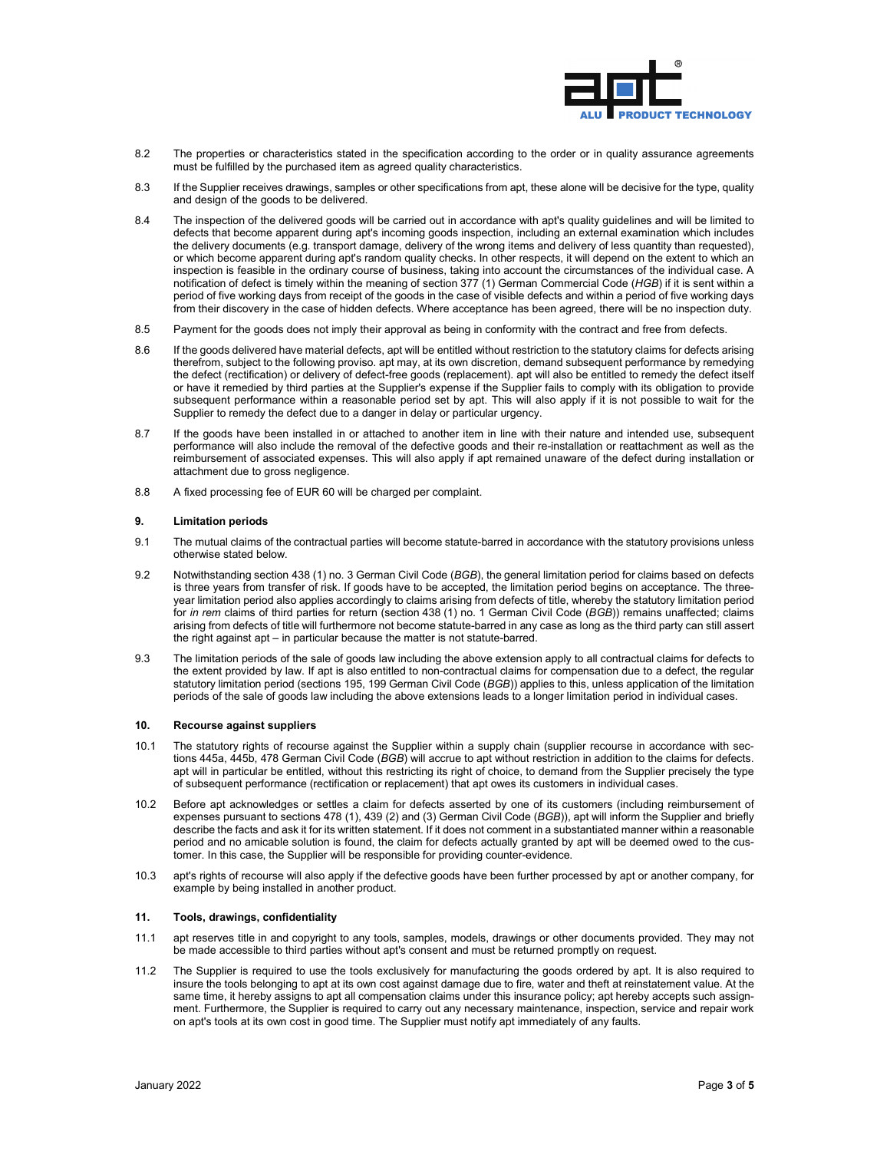

- 8.2 The properties or characteristics stated in the specification according to the order or in quality assurance agreements must be fulfilled by the purchased item as agreed quality characteristics.
- 8.3 If the Supplier receives drawings, samples or other specifications from apt, these alone will be decisive for the type, quality and design of the goods to be delivered.
- 8.4 The inspection of the delivered goods will be carried out in accordance with apt's quality guidelines and will be limited to defects that become apparent during apt's incoming goods inspection, including an external examination which includes the delivery documents (e.g. transport damage, delivery of the wrong items and delivery of less quantity than requested), or which become apparent during apt's random quality checks. In other respects, it will depend on the extent to which an inspection is feasible in the ordinary course of business, taking into account the circumstances of the individual case. A notification of defect is timely within the meaning of section 377 (1) German Commercial Code (*HGB*) if it is sent within a period of five working days from receipt of the goods in the case of visible defects and within a period of five working days from their discovery in the case of hidden defects. Where acceptance has been agreed, there will be no inspection duty.
- 8.5 Payment for the goods does not imply their approval as being in conformity with the contract and free from defects.
- 8.6 If the goods delivered have material defects, apt will be entitled without restriction to the statutory claims for defects arising therefrom, subject to the following proviso. apt may, at its own discretion, demand subsequent performance by remedying the defect (rectification) or delivery of defect-free goods (replacement). apt will also be entitled to remedy the defect itself or have it remedied by third parties at the Supplier's expense if the Supplier fails to comply with its obligation to provide subsequent performance within a reasonable period set by apt. This will also apply if it is not possible to wait for the Supplier to remedy the defect due to a danger in delay or particular urgency.
- 8.7 If the goods have been installed in or attached to another item in line with their nature and intended use, subsequent performance will also include the removal of the defective goods and their re-installation or reattachment as well as the reimbursement of associated expenses. This will also apply if apt remained unaware of the defect during installation or attachment due to gross negligence.
- 8.8 A fixed processing fee of EUR 60 will be charged per complaint.

## **9. Limitation periods**

- 9.1 The mutual claims of the contractual parties will become statute-barred in accordance with the statutory provisions unless otherwise stated below.
- 9.2 Notwithstanding section 438 (1) no. 3 German Civil Code (*BGB*), the general limitation period for claims based on defects is three years from transfer of risk. If goods have to be accepted, the limitation period begins on acceptance. The threeyear limitation period also applies accordingly to claims arising from defects of title, whereby the statutory limitation period for *in rem* claims of third parties for return (section 438 (1) no. 1 German Civil Code (*BGB*)) remains unaffected; claims arising from defects of title will furthermore not become statute-barred in any case as long as the third party can still assert the right against apt – in particular because the matter is not statute-barred.
- 9.3 The limitation periods of the sale of goods law including the above extension apply to all contractual claims for defects to the extent provided by law. If apt is also entitled to non-contractual claims for compensation due to a defect, the regular statutory limitation period (sections 195, 199 German Civil Code (*BGB*)) applies to this, unless application of the limitation periods of the sale of goods law including the above extensions leads to a longer limitation period in individual cases.

#### **10. Recourse against suppliers**

- 10.1 The statutory rights of recourse against the Supplier within a supply chain (supplier recourse in accordance with sections 445a, 445b, 478 German Civil Code (*BGB*) will accrue to apt without restriction in addition to the claims for defects. apt will in particular be entitled, without this restricting its right of choice, to demand from the Supplier precisely the type of subsequent performance (rectification or replacement) that apt owes its customers in individual cases.
- 10.2 Before apt acknowledges or settles a claim for defects asserted by one of its customers (including reimbursement of expenses pursuant to sections 478 (1), 439 (2) and (3) German Civil Code (*BGB*)), apt will inform the Supplier and briefly describe the facts and ask it for its written statement. If it does not comment in a substantiated manner within a reasonable period and no amicable solution is found, the claim for defects actually granted by apt will be deemed owed to the customer. In this case, the Supplier will be responsible for providing counter-evidence.
- 10.3 apt's rights of recourse will also apply if the defective goods have been further processed by apt or another company, for example by being installed in another product.

#### **11. Tools, drawings, confidentiality**

- 11.1 apt reserves title in and copyright to any tools, samples, models, drawings or other documents provided. They may not be made accessible to third parties without apt's consent and must be returned promptly on request.
- 11.2 The Supplier is required to use the tools exclusively for manufacturing the goods ordered by apt. It is also required to insure the tools belonging to apt at its own cost against damage due to fire, water and theft at reinstatement value. At the same time, it hereby assigns to apt all compensation claims under this insurance policy; apt hereby accepts such assignment. Furthermore, the Supplier is required to carry out any necessary maintenance, inspection, service and repair work on apt's tools at its own cost in good time. The Supplier must notify apt immediately of any faults.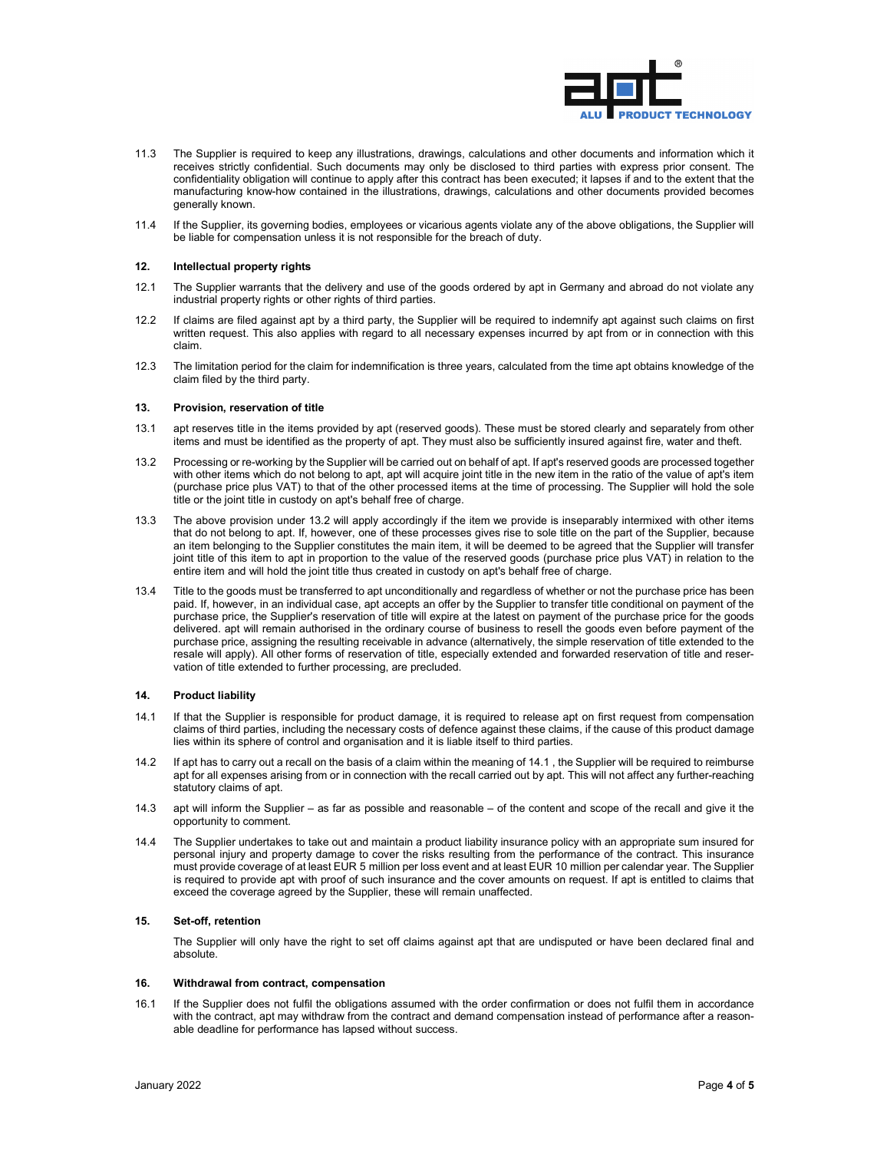

- 11.3 The Supplier is required to keep any illustrations, drawings, calculations and other documents and information which it receives strictly confidential. Such documents may only be disclosed to third parties with express prior consent. The confidentiality obligation will continue to apply after this contract has been executed; it lapses if and to the extent that the manufacturing know-how contained in the illustrations, drawings, calculations and other documents provided becomes generally known.
- 11.4 If the Supplier, its governing bodies, employees or vicarious agents violate any of the above obligations, the Supplier will be liable for compensation unless it is not responsible for the breach of duty.

# **12. Intellectual property rights**

- 12.1 The Supplier warrants that the delivery and use of the goods ordered by apt in Germany and abroad do not violate any industrial property rights or other rights of third parties.
- 12.2 If claims are filed against apt by a third party, the Supplier will be required to indemnify apt against such claims on first written request. This also applies with regard to all necessary expenses incurred by apt from or in connection with this claim.
- 12.3 The limitation period for the claim for indemnification is three years, calculated from the time apt obtains knowledge of the claim filed by the third party.

# **13. Provision, reservation of title**

- 13.1 apt reserves title in the items provided by apt (reserved goods). These must be stored clearly and separately from other items and must be identified as the property of apt. They must also be sufficiently insured against fire, water and theft.
- 13.2 Processing or re-working by the Supplier will be carried out on behalf of apt. If apt's reserved goods are processed together with other items which do not belong to apt, apt will acquire joint title in the new item in the ratio of the value of apt's item (purchase price plus VAT) to that of the other processed items at the time of processing. The Supplier will hold the sole title or the joint title in custody on apt's behalf free of charge.
- 13.3 The above provision under 13.2 will apply accordingly if the item we provide is inseparably intermixed with other items that do not belong to apt. If, however, one of these processes gives rise to sole title on the part of the Supplier, because an item belonging to the Supplier constitutes the main item, it will be deemed to be agreed that the Supplier will transfer joint title of this item to apt in proportion to the value of the reserved goods (purchase price plus VAT) in relation to the entire item and will hold the joint title thus created in custody on apt's behalf free of charge.
- 13.4 Title to the goods must be transferred to apt unconditionally and regardless of whether or not the purchase price has been paid. If, however, in an individual case, apt accepts an offer by the Supplier to transfer title conditional on payment of the purchase price, the Supplier's reservation of title will expire at the latest on payment of the purchase price for the goods delivered. apt will remain authorised in the ordinary course of business to resell the goods even before payment of the purchase price, assigning the resulting receivable in advance (alternatively, the simple reservation of title extended to the resale will apply). All other forms of reservation of title, especially extended and forwarded reservation of title and reservation of title extended to further processing, are precluded.

## **14. Product liability**

- 14.1 If that the Supplier is responsible for product damage, it is required to release apt on first request from compensation claims of third parties, including the necessary costs of defence against these claims, if the cause of this product damage lies within its sphere of control and organisation and it is liable itself to third parties.
- 14.2 If apt has to carry out a recall on the basis of a claim within the meaning of 14.1 , the Supplier will be required to reimburse apt for all expenses arising from or in connection with the recall carried out by apt. This will not affect any further-reaching statutory claims of apt.
- 14.3 apt will inform the Supplier as far as possible and reasonable of the content and scope of the recall and give it the opportunity to comment.
- 14.4 The Supplier undertakes to take out and maintain a product liability insurance policy with an appropriate sum insured for personal injury and property damage to cover the risks resulting from the performance of the contract. This insurance must provide coverage of at least EUR 5 million per loss event and at least EUR 10 million per calendar year. The Supplier is required to provide apt with proof of such insurance and the cover amounts on request. If apt is entitled to claims that exceed the coverage agreed by the Supplier, these will remain unaffected.

## **15. Set-off, retention**

The Supplier will only have the right to set off claims against apt that are undisputed or have been declared final and absolute.

### **16. Withdrawal from contract, compensation**

16.1 If the Supplier does not fulfil the obligations assumed with the order confirmation or does not fulfil them in accordance with the contract, apt may withdraw from the contract and demand compensation instead of performance after a reasonable deadline for performance has lapsed without success.